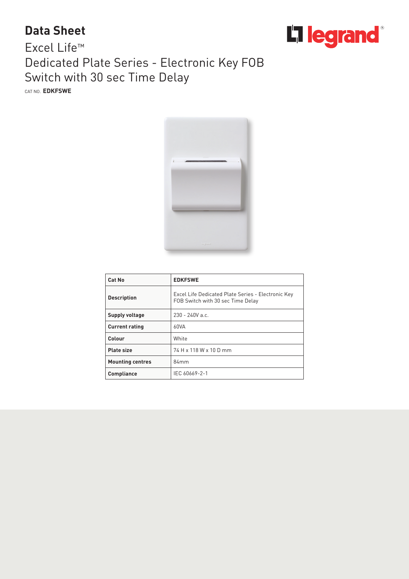## **Data Sheet**



## Excel Life™ Dedicated Plate Series - Electronic Key FOB Switch with 30 sec Time Delay

CAT NO. **EDKFSWE**



| Cat No                  | <b>EDKFSWE</b>                                                                          |
|-------------------------|-----------------------------------------------------------------------------------------|
| <b>Description</b>      | Excel Life Dedicated Plate Series - Electronic Key<br>FOB Switch with 30 sec Time Delay |
| Supply voltage          | $230 - 240V$ a.c.                                                                       |
| <b>Current rating</b>   | 60VA                                                                                    |
| Colour                  | White                                                                                   |
| <b>Plate size</b>       | 74 H x 118 W x 10 D mm                                                                  |
| <b>Mounting centres</b> | 84mm                                                                                    |
| <b>Compliance</b>       | IEC 60669-2-1                                                                           |